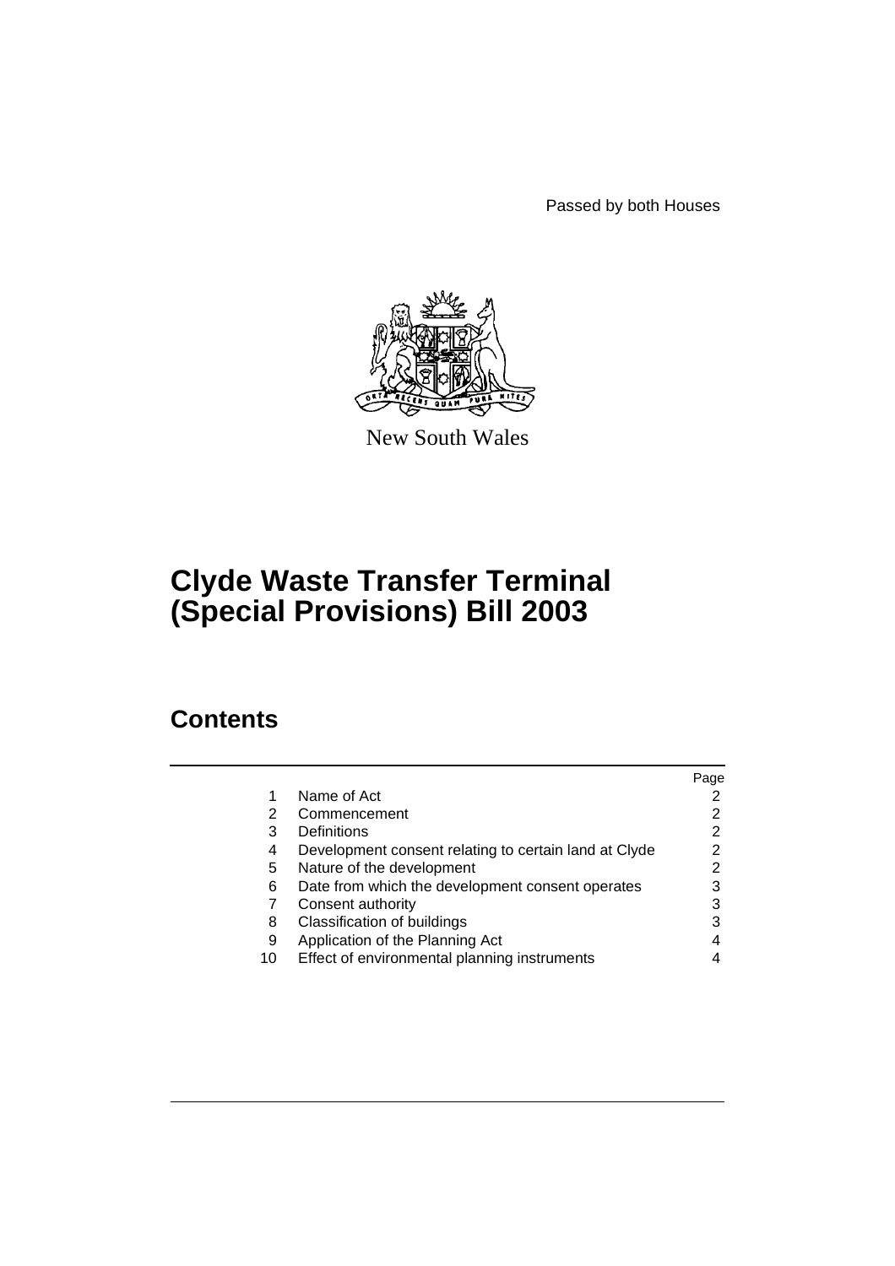Passed by both Houses



New South Wales

# **Clyde Waste Transfer Terminal (Special Provisions) Bill 2003**

# **Contents**

|    |                                                       | Page |
|----|-------------------------------------------------------|------|
|    | Name of Act                                           |      |
| 2  | Commencement                                          | 2    |
| 3  | Definitions                                           |      |
| 4  | Development consent relating to certain land at Clyde | 2    |
| 5  | Nature of the development                             | 2    |
| 6  | Date from which the development consent operates      | 3    |
|    | Consent authority                                     |      |
| 8  | Classification of buildings                           |      |
| 9  | Application of the Planning Act                       |      |
| 10 | Effect of environmental planning instruments          |      |
|    |                                                       |      |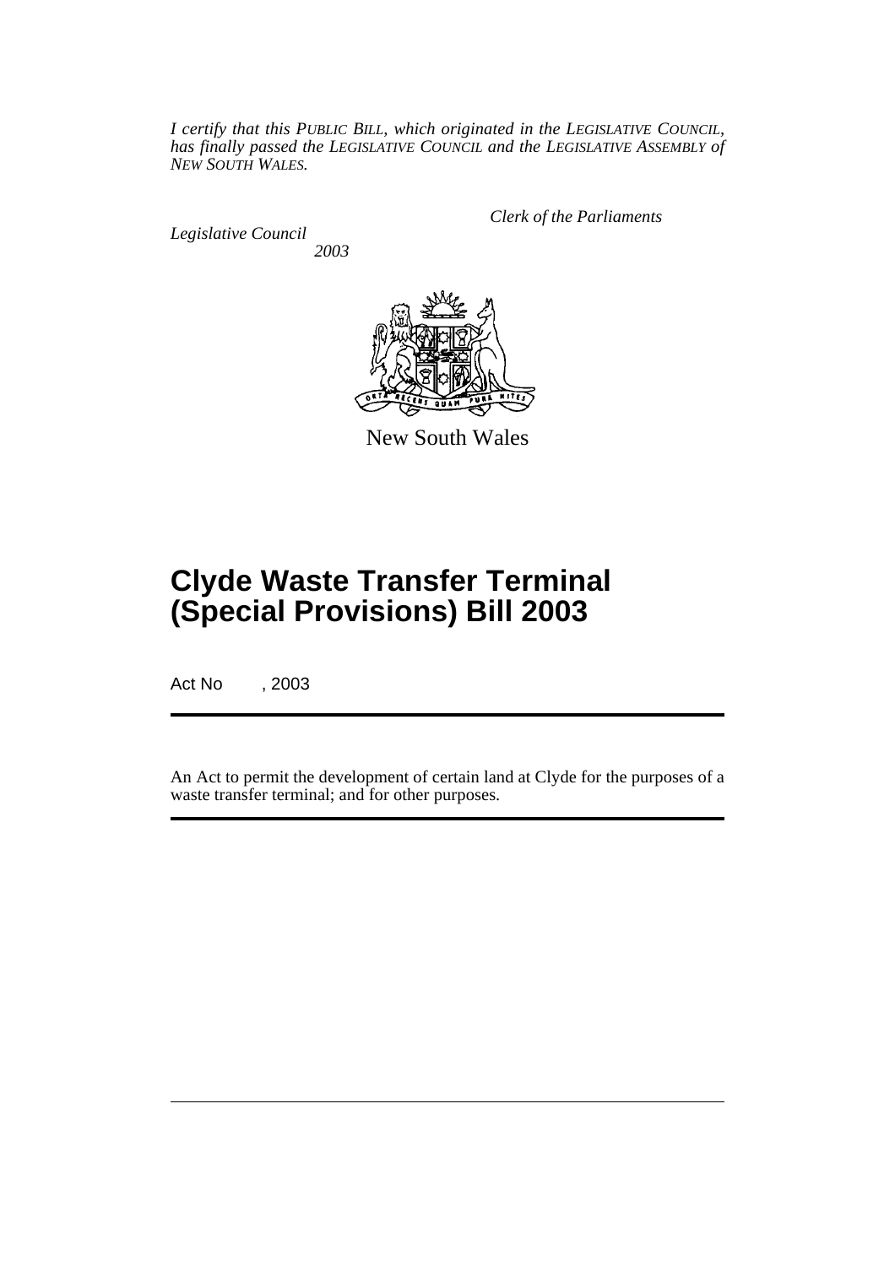*I certify that this PUBLIC BILL, which originated in the LEGISLATIVE COUNCIL, has finally passed the LEGISLATIVE COUNCIL and the LEGISLATIVE ASSEMBLY of NEW SOUTH WALES.*

*Legislative Council 2003* *Clerk of the Parliaments*



New South Wales

# **Clyde Waste Transfer Terminal (Special Provisions) Bill 2003**

Act No , 2003

An Act to permit the development of certain land at Clyde for the purposes of a waste transfer terminal; and for other purposes.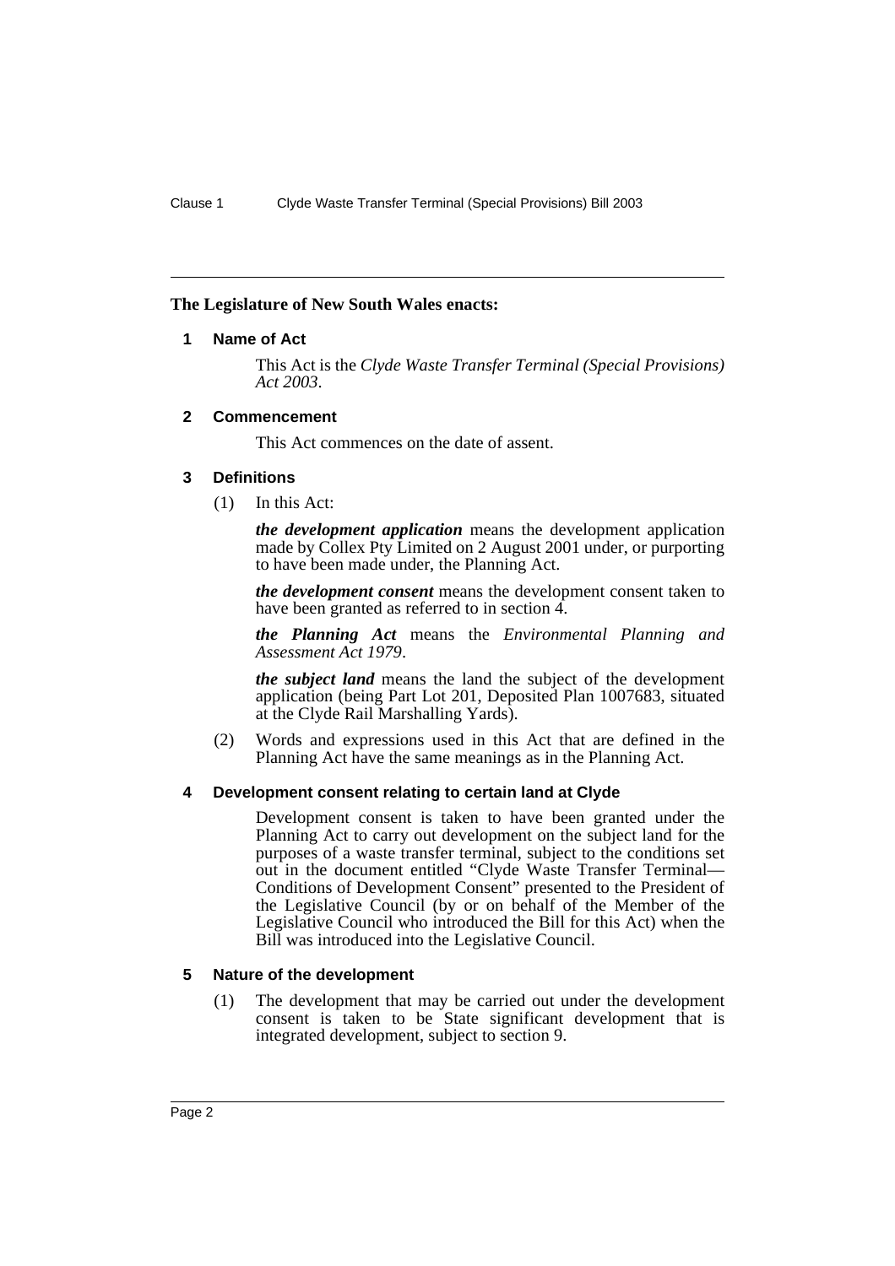# **The Legislature of New South Wales enacts:**

# **1 Name of Act**

This Act is the *Clyde Waste Transfer Terminal (Special Provisions) Act 2003*.

#### **2 Commencement**

This Act commences on the date of assent.

#### **3 Definitions**

(1) In this Act:

*the development application* means the development application made by Collex Pty Limited on 2 August 2001 under, or purporting to have been made under, the Planning Act.

*the development consent* means the development consent taken to have been granted as referred to in section 4.

*the Planning Act* means the *Environmental Planning and Assessment Act 1979*.

*the subject land* means the land the subject of the development application (being Part Lot 201, Deposited Plan 1007683, situated at the Clyde Rail Marshalling Yards).

(2) Words and expressions used in this Act that are defined in the Planning Act have the same meanings as in the Planning Act.

# **4 Development consent relating to certain land at Clyde**

Development consent is taken to have been granted under the Planning Act to carry out development on the subject land for the purposes of a waste transfer terminal, subject to the conditions set out in the document entitled "Clyde Waste Transfer Terminal— Conditions of Development Consent" presented to the President of the Legislative Council (by or on behalf of the Member of the Legislative Council who introduced the Bill for this Act) when the Bill was introduced into the Legislative Council.

# **5 Nature of the development**

(1) The development that may be carried out under the development consent is taken to be State significant development that is integrated development, subject to section 9.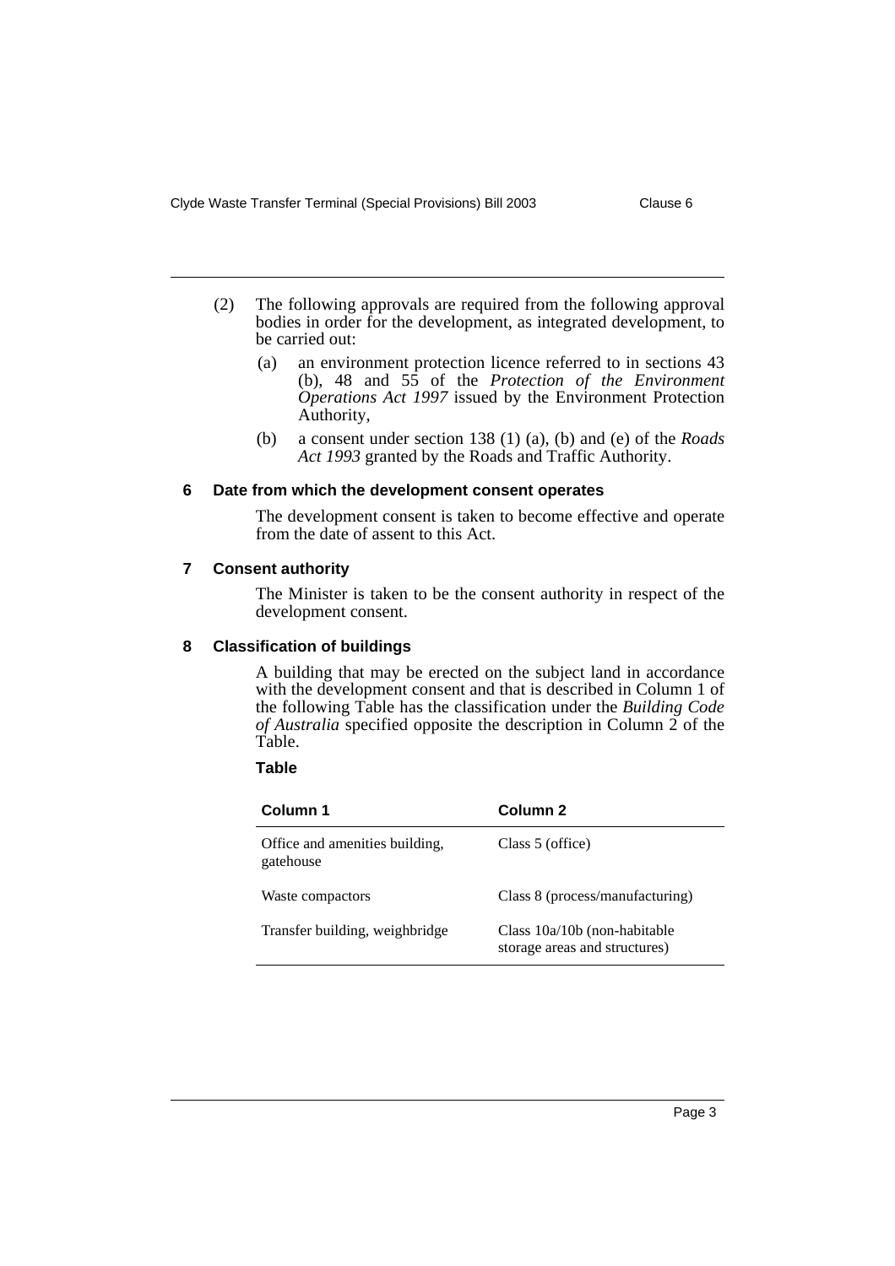- (2) The following approvals are required from the following approval bodies in order for the development, as integrated development, to be carried out:
	- (a) an environment protection licence referred to in sections 43 (b), 48 and 55 of the *Protection of the Environment Operations Act 1997* issued by the Environment Protection Authority,
	- (b) a consent under section 138 (1) (a), (b) and (e) of the *Roads Act 1993* granted by the Roads and Traffic Authority.

#### **6 Date from which the development consent operates**

The development consent is taken to become effective and operate from the date of assent to this Act.

#### **7 Consent authority**

The Minister is taken to be the consent authority in respect of the development consent.

# **8 Classification of buildings**

A building that may be erected on the subject land in accordance with the development consent and that is described in Column 1 of the following Table has the classification under the *Building Code of Australia* specified opposite the description in Column 2 of the Table.

#### **Table**

| Column 1                                    | Column <sub>2</sub>                                             |
|---------------------------------------------|-----------------------------------------------------------------|
| Office and amenities building,<br>gatehouse | Class 5 (office)                                                |
| Waste compactors                            | Class 8 (process/manufacturing)                                 |
| Transfer building, weighbridge              | Class $10a/10b$ (non-habitable<br>storage areas and structures) |